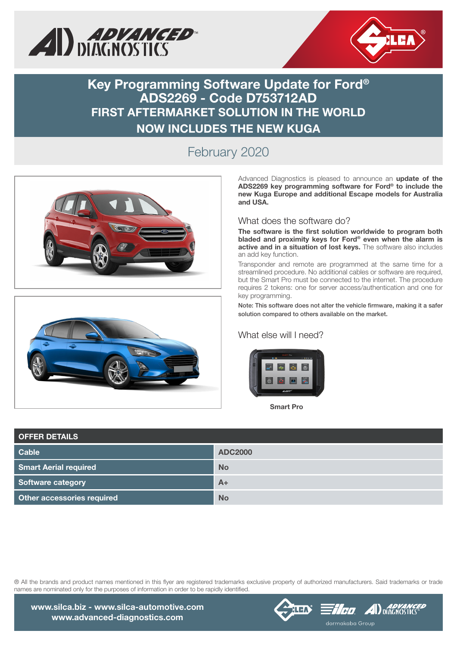



**Key Programming Software Update for Ford® ADS2269 - Code D753712AD FIRST AFTERMARKET SOLUTION IN THE WORLD NOW INCLUDES THE NEW KUGA**

## February 2020





Advanced Diagnostics is pleased to announce an **update of the ADS2269 key programming software for Ford® to include the new Kuga Europe and additional Escape models for Australia and USA.**

## What does the software do?

**The software is the first solution worldwide to program both bladed and proximity keys for Ford® even when the alarm is active and in a situation of lost keys.** The software also includes an add key function.

Transponder and remote are programmed at the same time for a streamlined procedure. No additional cables or software are required, but the Smart Pro must be connected to the internet. The procedure requires 2 tokens: one for server access/authentication and one for key programming.

Note: This software does not alter the vehicle firmware, making it a safer solution compared to others available on the market.

## What else will I need?



Smart Pro

| <b>OFFER DETAILS</b>         |                |
|------------------------------|----------------|
| <b>Cable</b>                 | <b>ADC2000</b> |
| <b>Smart Aerial required</b> | <b>No</b>      |
| Software category            | $A+$           |
| Other accessories required   | <b>No</b>      |

® All the brands and product names mentioned in this flyer are registered trademarks exclusive property of authorized manufacturers. Said trademarks or trade names are nominated only for the purposes of information in order to be rapidly identified.